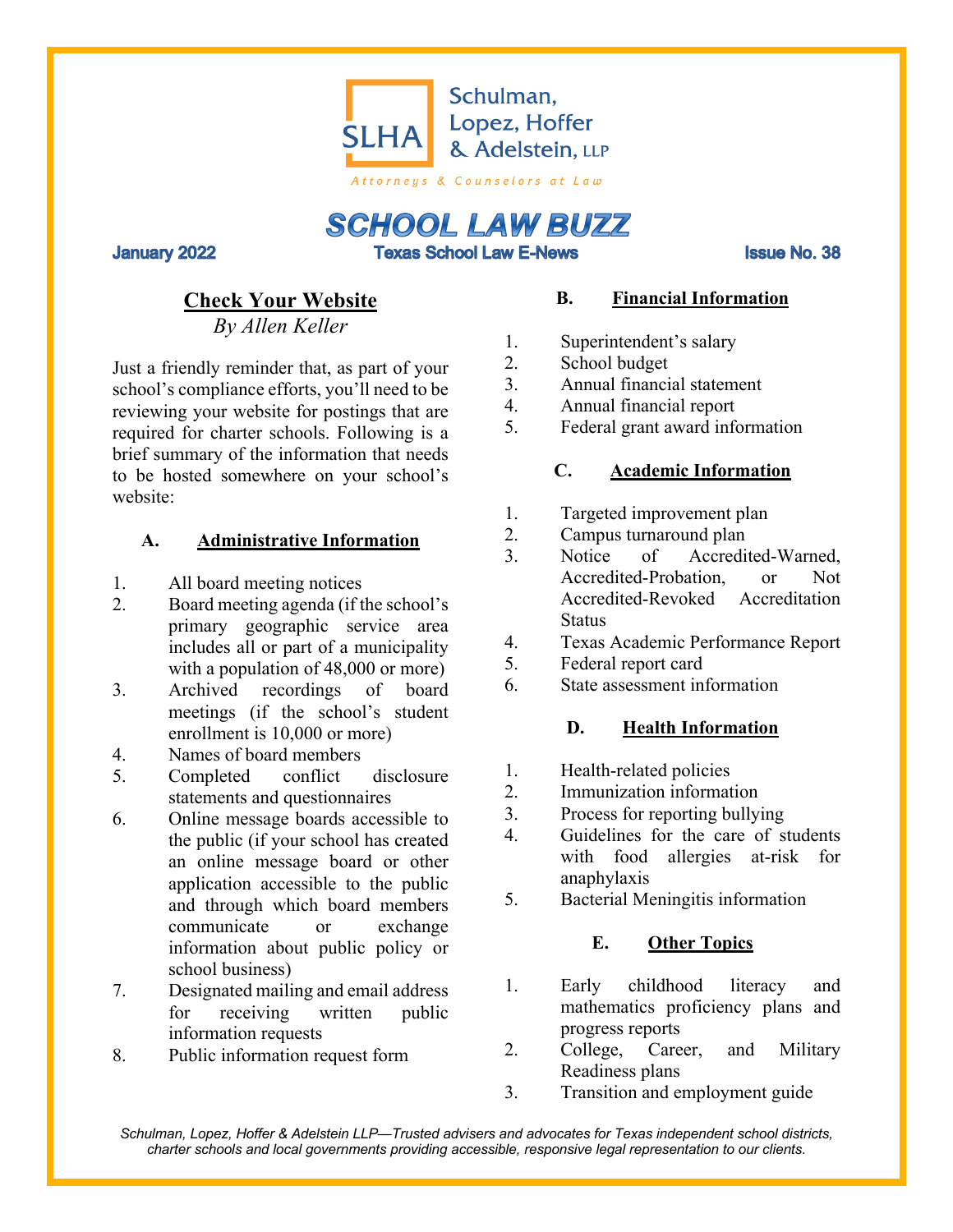

**SCHOOL LAW BUZZ Texas School Law E-News** 

**January 2022** 

**Issue No. 38** 

# **Check Your Website**

*By Allen Keller*

Just a friendly reminder that, as part of your school's compliance efforts, you'll need to be reviewing your website for postings that are required for charter schools. Following is a brief summary of the information that needs to be hosted somewhere on your school's website:

#### **A. Administrative Information**

- 1. All board meeting notices
- 2. Board meeting agenda (if the school's primary geographic service area includes all or part of a municipality with a population of 48,000 or more)
- 3. Archived recordings of board meetings (if the school's student enrollment is 10,000 or more)
- 4. Names of board members
- 5. Completed conflict disclosure statements and questionnaires
- 6. Online message boards accessible to the public (if your school has created an online message board or other application accessible to the public and through which board members communicate or exchange information about public policy or school business)
- 7. Designated mailing and email address for receiving written public information requests
- 8. Public information request form

## **B. Financial Information**

- 1. Superintendent's salary
- 2. School budget
- 3. Annual financial statement
- 4. Annual financial report
- 5. Federal grant award information

### **C. Academic Information**

- 1. Targeted improvement plan
- 2. Campus turnaround plan
- 3. Notice of Accredited-Warned, Accredited-Probation, or Not Accredited-Revoked Accreditation **Status**
- 4. Texas Academic Performance Report
- 5. Federal report card
- 6. State assessment information

### **D. Health Information**

- 1. Health-related policies
- 2. Immunization information
- 3. Process for reporting bullying
- 4. Guidelines for the care of students with food allergies at-risk for anaphylaxis
- 5. Bacterial Meningitis information

### **E. Other Topics**

- 1. Early childhood literacy and mathematics proficiency plans and progress reports
- 2. College, Career, and Military Readiness plans
- 3. Transition and employment guide

*Schulman, Lopez, Hoffer & Adelstein LLP—Trusted advisers and advocates for Texas independent school districts, charter schools and local governments providing accessible, responsive legal representation to our clients.*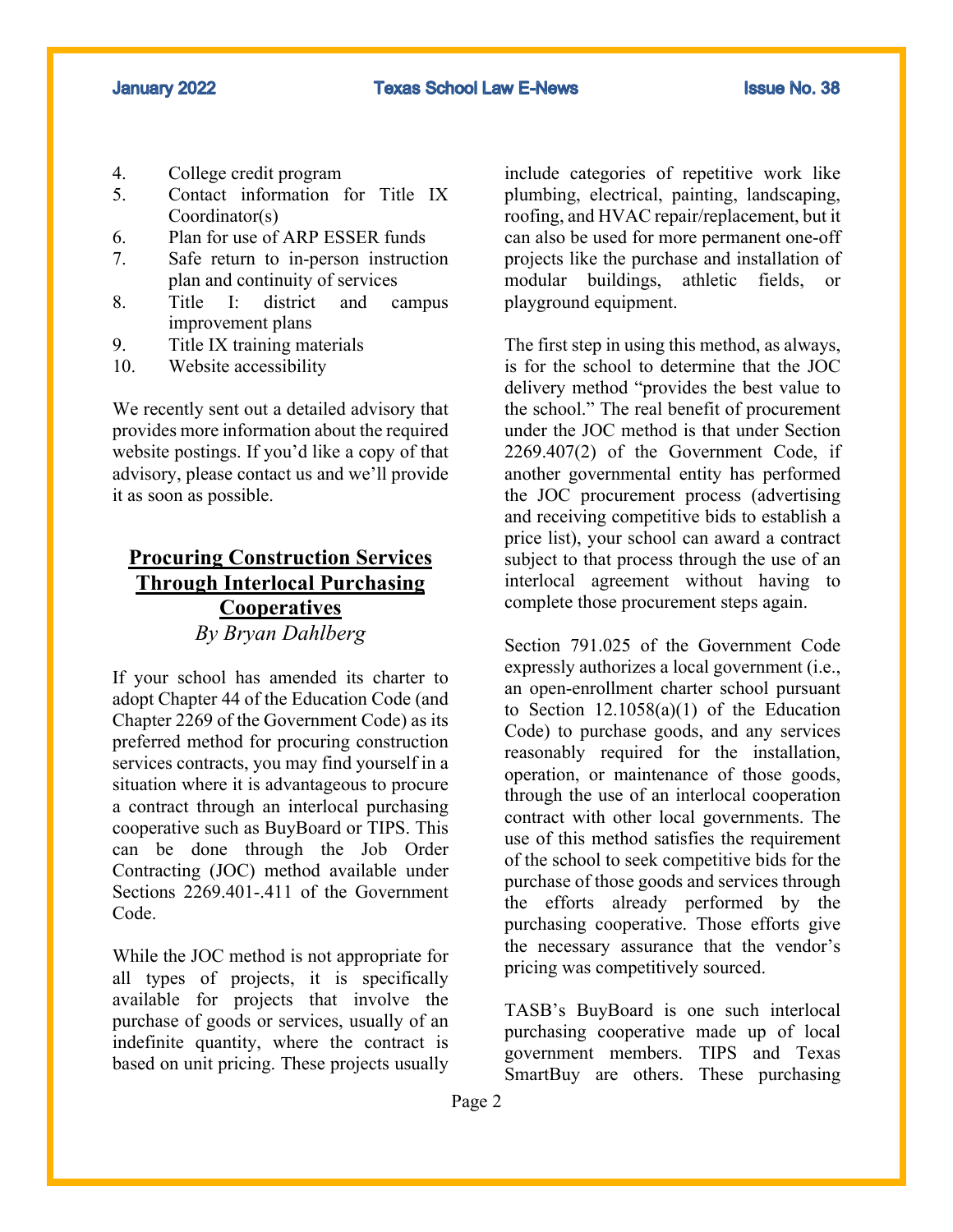- 4. College credit program
- 5. Contact information for Title IX Coordinator(s)
- 6. Plan for use of ARP ESSER funds
- 7. Safe return to in-person instruction plan and continuity of services
- 8. Title I: district and campus improvement plans
- 9. Title IX training materials
- 10. Website accessibility

We recently sent out a detailed advisory that provides more information about the required website postings. If you'd like a copy of that advisory, please contact us and we'll provide it as soon as possible.

# **Procuring Construction Services Through Interlocal Purchasing Cooperatives** *By Bryan Dahlberg*

If your school has amended its charter to adopt Chapter 44 of the Education Code (and Chapter 2269 of the Government Code) as its preferred method for procuring construction services contracts, you may find yourself in a situation where it is advantageous to procure a contract through an interlocal purchasing cooperative such as BuyBoard or TIPS. This can be done through the Job Order Contracting (JOC) method available under Sections 2269.401-.411 of the Government Code.

While the JOC method is not appropriate for all types of projects, it is specifically available for projects that involve the purchase of goods or services, usually of an indefinite quantity, where the contract is based on unit pricing. These projects usually

include categories of repetitive work like plumbing, electrical, painting, landscaping, roofing, and HVAC repair/replacement, but it can also be used for more permanent one-off projects like the purchase and installation of modular buildings, athletic fields, playground equipment.

The first step in using this method, as always, is for the school to determine that the JOC delivery method "provides the best value to the school." The real benefit of procurement under the JOC method is that under Section 2269.407(2) of the Government Code, if another governmental entity has performed the JOC procurement process (advertising and receiving competitive bids to establish a price list), your school can award a contract subject to that process through the use of an interlocal agreement without having to complete those procurement steps again.

Section 791.025 of the Government Code expressly authorizes a local government (i.e., an open-enrollment charter school pursuant to Section  $12.1058(a)(1)$  of the Education Code) to purchase goods, and any services reasonably required for the installation, operation, or maintenance of those goods, through the use of an interlocal cooperation contract with other local governments. The use of this method satisfies the requirement of the school to seek competitive bids for the purchase of those goods and services through the efforts already performed by the purchasing cooperative. Those efforts give the necessary assurance that the vendor's pricing was competitively sourced.

TASB's BuyBoard is one such interlocal purchasing cooperative made up of local government members. TIPS and Texas SmartBuy are others. These purchasing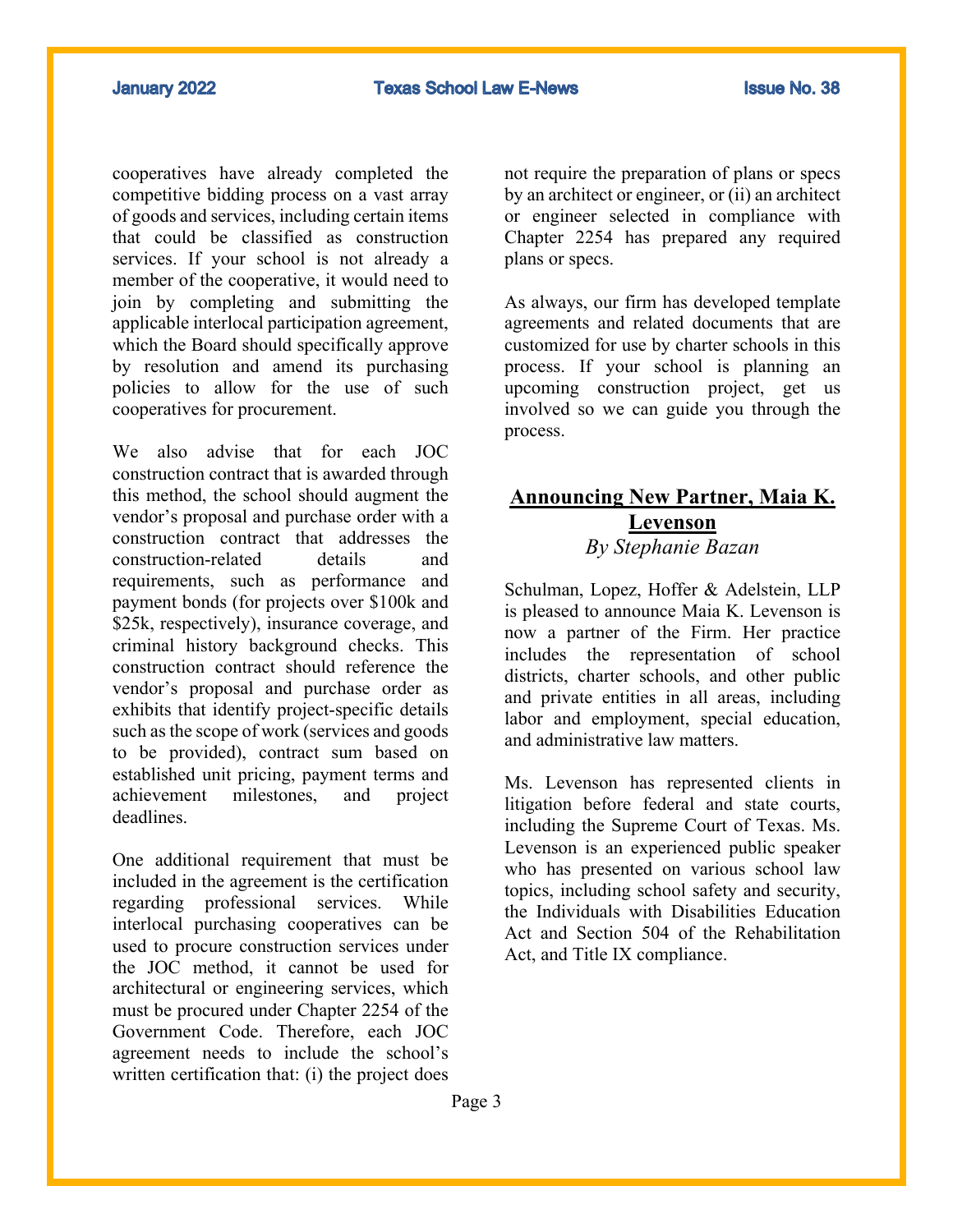cooperatives have already completed the competitive bidding process on a vast array of goods and services, including certain items that could be classified as construction services. If your school is not already a member of the cooperative, it would need to join by completing and submitting the applicable interlocal participation agreement, which the Board should specifically approve by resolution and amend its purchasing policies to allow for the use of such cooperatives for procurement.

We also advise that for each JOC construction contract that is awarded through this method, the school should augment the vendor's proposal and purchase order with a construction contract that addresses the construction-related details and requirements, such as performance and payment bonds (for projects over \$100k and \$25k, respectively), insurance coverage, and criminal history background checks. This construction contract should reference the vendor's proposal and purchase order as exhibits that identify project-specific details such as the scope of work (services and goods to be provided), contract sum based on established unit pricing, payment terms and achievement milestones, and project deadlines.

One additional requirement that must be included in the agreement is the certification regarding professional services. While interlocal purchasing cooperatives can be used to procure construction services under the JOC method, it cannot be used for architectural or engineering services, which must be procured under Chapter 2254 of the Government Code. Therefore, each JOC agreement needs to include the school's written certification that: (i) the project does

not require the preparation of plans or specs by an architect or engineer, or (ii) an architect or engineer selected in compliance with Chapter 2254 has prepared any required plans or specs.

As always, our firm has developed template agreements and related documents that are customized for use by charter schools in this process. If your school is planning an upcoming construction project, get us involved so we can guide you through the process.

# **Announcing New Partner, Maia K. Levenson** *By Stephanie Bazan*

Schulman, Lopez, Hoffer & Adelstein, LLP is pleased to announce Maia K. Levenson is now a partner of the Firm. Her practice includes the representation of school districts, charter schools, and other public and private entities in all areas, including labor and employment, special education, and administrative law matters.

Ms. Levenson has represented clients in litigation before federal and state courts, including the Supreme Court of Texas. Ms. Levenson is an experienced public speaker who has presented on various school law topics, including school safety and security, the Individuals with Disabilities Education Act and Section 504 of the Rehabilitation Act, and Title IX compliance.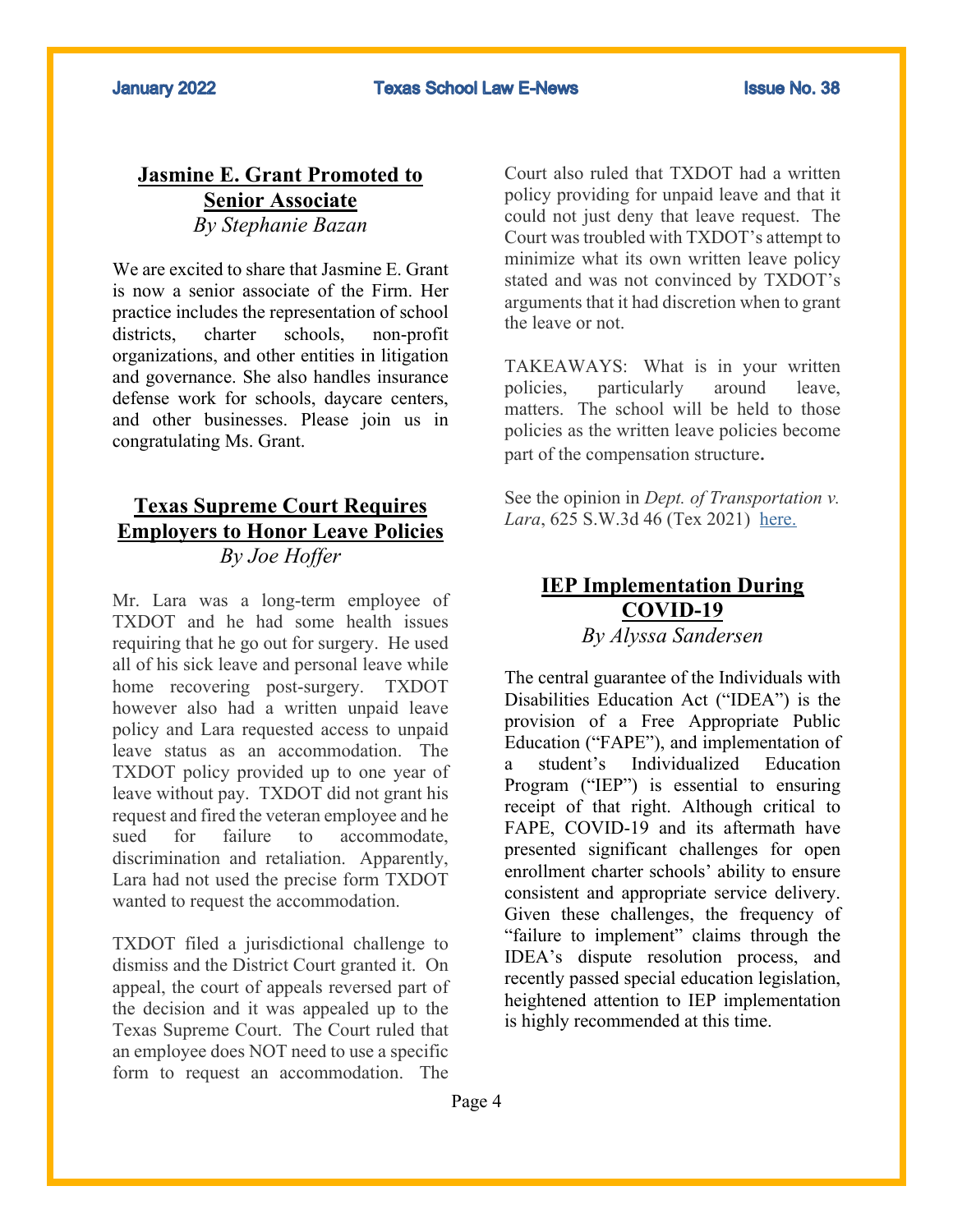**Texas School Law E-News** 

# **Jasmine E. Grant Promoted to Senior Associate** *By Stephanie Bazan*

We are excited to share that Jasmine E. Grant is now a senior associate of the Firm. Her practice includes the representation of school districts, charter schools, non-profit organizations, and other entities in litigation and governance. She also handles insurance defense work for schools, daycare centers, and other businesses. Please join us in congratulating Ms. Grant.

# **Texas Supreme Court Requires Employers to Honor Leave Policies** *By Joe Hoffer*

Mr. Lara was a long-term employee of TXDOT and he had some health issues requiring that he go out for surgery. He used all of his sick leave and personal leave while home recovering post-surgery. TXDOT however also had a written unpaid leave policy and Lara requested access to unpaid leave status as an accommodation. The TXDOT policy provided up to one year of leave without pay. TXDOT did not grant his request and fired the veteran employee and he sued for failure to accommodate, discrimination and retaliation. Apparently, Lara had not used the precise form TXDOT wanted to request the accommodation.

TXDOT filed a jurisdictional challenge to dismiss and the District Court granted it. On appeal, the court of appeals reversed part of the decision and it was appealed up to the Texas Supreme Court. The Court ruled that an employee does NOT need to use a specific form to request an accommodation. The

Court also ruled that TXDOT had a written policy providing for unpaid leave and that it could not just deny that leave request. The Court was troubled with TXDOT's attempt to minimize what its own written leave policy stated and was not convinced by TXDOT's arguments that it had discretion when to grant the leave or not.

TAKEAWAYS: What is in your written policies, particularly around leave, matters. The school will be held to those policies as the written leave policies become part of the compensation structure.

See the opinion in *Dept. of Transportation v.*  Lara, 625 S.W.3d 46 (Tex 2021) here.

# **IEP Implementation During COVID-19**

*By Alyssa Sandersen*

The central guarantee of the Individuals with Disabilities Education Act ("IDEA") is the provision of a Free Appropriate Public Education ("FAPE"), and implementation of a student's Individualized Education Program ("IEP") is essential to ensuring receipt of that right. Although critical to FAPE, COVID-19 and its aftermath have presented significant challenges for open enrollment charter schools' ability to ensure consistent and appropriate service delivery. Given these challenges, the frequency of "failure to implement" claims through the IDEA's dispute resolution process, and recently passed special education legislation, heightened attention to IEP implementation is highly recommended at this time.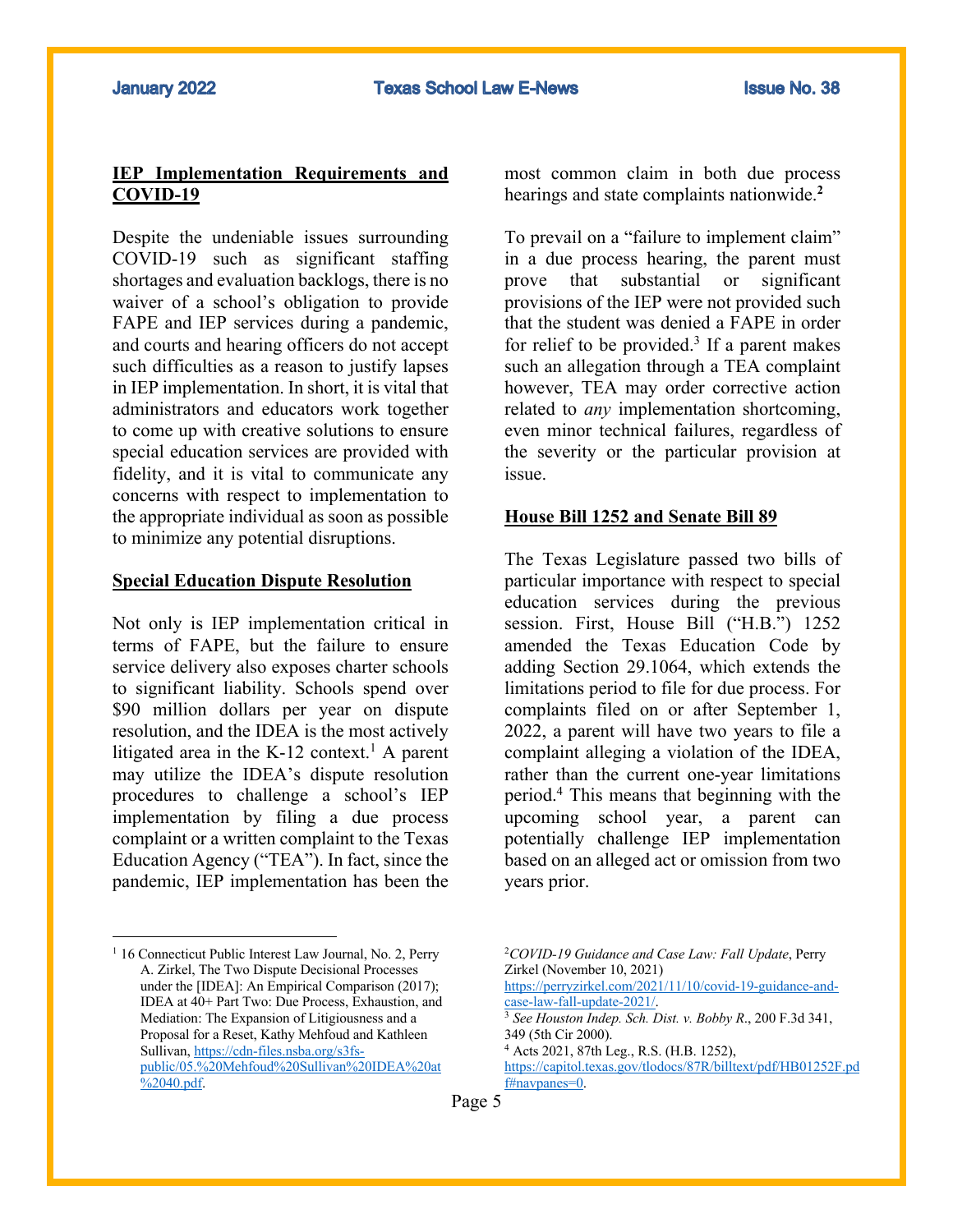#### **IEP Implementation Requirements and COVID-19**

Despite the undeniable issues surrounding COVID-19 such as significant staffing shortages and evaluation backlogs, there is no waiver of a school's obligation to provide FAPE and IEP services during a pandemic, and courts and hearing officers do not accept such difficulties as a reason to justify lapses in IEP implementation. In short, it is vital that administrators and educators work together to come up with creative solutions to ensure special education services are provided with fidelity, and it is vital to communicate any concerns with respect to implementation to the appropriate individual as soon as possible to minimize any potential disruptions.

#### **Special Education Dispute Resolution**

Not only is IEP implementation critical in terms of FAPE, but the failure to ensure service delivery also exposes charter schools to significant liability. Schools spend over \$90 million dollars per year on dispute resolution, and the IDEA is the most actively litigated area in the  $K-12$  context.<sup>1</sup> A parent may utilize the IDEA's dispute resolution procedures to challenge a school's IEP implementation by filing a due process complaint or a written complaint to the Texas Education Agency ("TEA"). In fact, since the pandemic, IEP implementation has been the

most common claim in both due process hearings and state complaints nationwide.**<sup>2</sup>**

To prevail on a "failure to implement claim" in a due process hearing, the parent must prove that substantial or significant provisions of the IEP were not provided such that the student was denied a FAPE in order for relief to be provided.<sup>3</sup> If a parent makes such an allegation through a TEA complaint however, TEA may order corrective action related to *any* implementation shortcoming, even minor technical failures, regardless of the severity or the particular provision at issue.

#### **House Bill 1252 and Senate Bill 89**

The Texas Legislature passed two bills of particular importance with respect to special education services during the previous session. First, House Bill ("H.B.") 1252 amended the Texas Education Code by adding Section 29.1064, which extends the limitations period to file for due process. For complaints filed on or after September 1, 2022, a parent will have two years to file a complaint alleging a violation of the IDEA, rather than the current one-year limitations period.4 This means that beginning with the upcoming school year, a parent can potentially challenge IEP implementation based on an alleged act or omission from two years prior.

Page 5

<sup>&</sup>lt;sup>1</sup> 16 Connecticut Public Interest Law Journal, No. 2, Perry A. Zirkel, The Two Dispute Decisional Processes under the [IDEA]: An Empirical Comparison (2017); IDEA at 40+ Part Two: Due Process, Exhaustion, and Mediation: The Expansion of Litigiousness and a Proposal for a Reset, Kathy Mehfoud and Kathleen Sullivan, https://cdn-files.nsba.org/s3fspublic/05.%20Mehfoud%20Sullivan%20IDEA%20at %2040.pdf.

<sup>2</sup>*COVID-19 Guidance and Case Law: Fall Update*, Perry Zirkel (November 10, 2021) https://perryzirkel.com/2021/11/10/covid-19-guidance-andcase-law-fall-update-2021/. 3 *See Houston Indep. Sch. Dist. v. Bobby R*., 200 F.3d 341,

<sup>349 (5</sup>th Cir 2000).

<sup>4</sup> Acts 2021, 87th Leg., R.S. (H.B. 1252), https://capitol.texas.gov/tlodocs/87R/billtext/pdf/HB01252F.pd f#navpanes=0.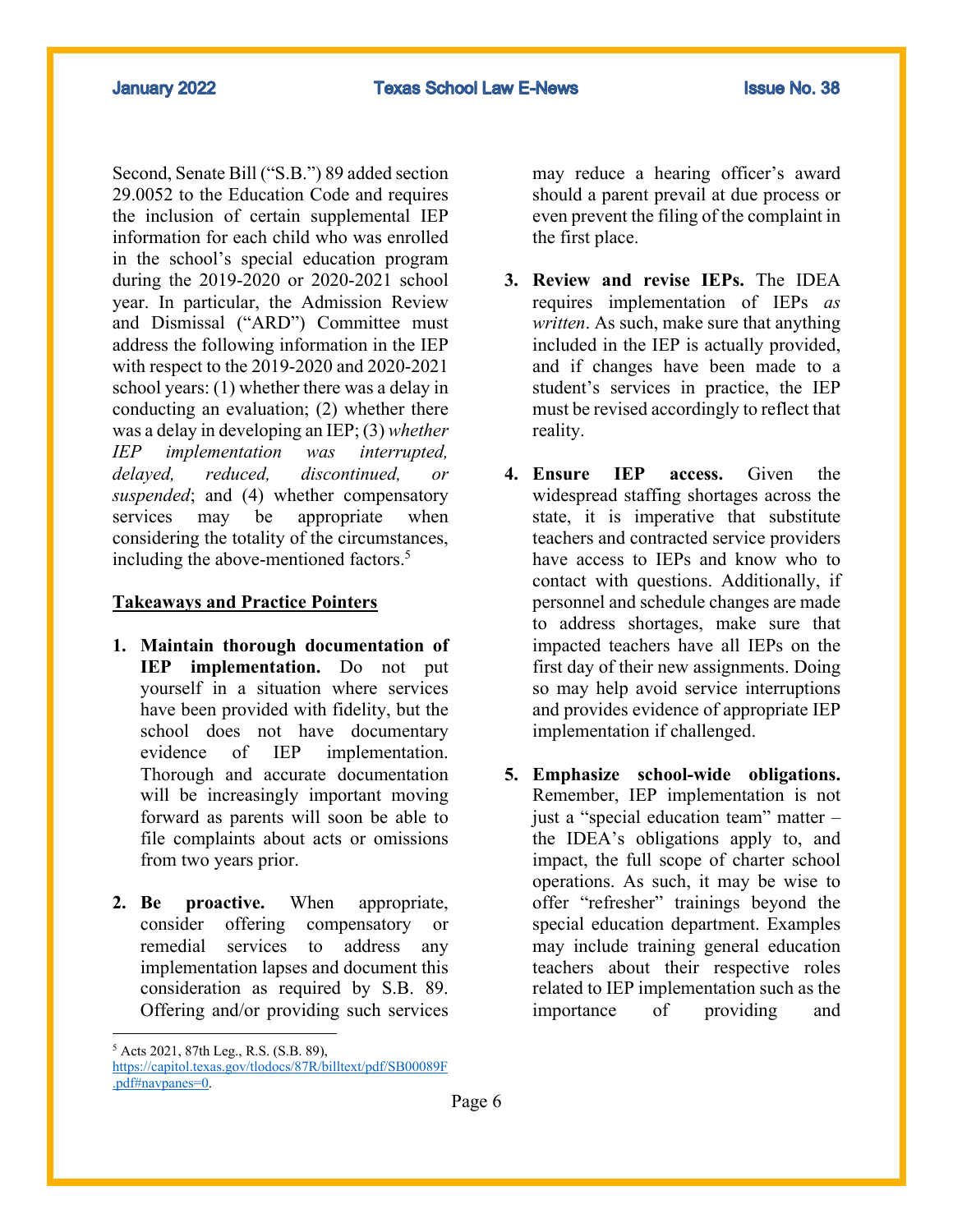**January 2022** 

Second, Senate Bill ("S.B.") 89 added section 29.0052 to the Education Code and requires the inclusion of certain supplemental IEP information for each child who was enrolled in the school's special education program during the 2019-2020 or 2020-2021 school year. In particular, the Admission Review and Dismissal ("ARD") Committee must address the following information in the IEP with respect to the 2019-2020 and 2020-2021 school years: (1) whether there was a delay in conducting an evaluation; (2) whether there was a delay in developing an IEP; (3) *whether IEP implementation was interrupted, delayed, reduced, discontinued, or suspended*; and (4) whether compensatory services may be appropriate when considering the totality of the circumstances, including the above-mentioned factors.<sup>5</sup>

#### **Takeaways and Practice Pointers**

- **1. Maintain thorough documentation of IEP implementation.** Do not put yourself in a situation where services have been provided with fidelity, but the school does not have documentary evidence of IEP implementation. Thorough and accurate documentation will be increasingly important moving forward as parents will soon be able to file complaints about acts or omissions from two years prior.
- **2. Be proactive.** When appropriate, consider offering compensatory or remedial services to address any implementation lapses and document this consideration as required by S.B. 89. Offering and/or providing such services

may reduce a hearing officer's award should a parent prevail at due process or even prevent the filing of the complaint in the first place.

- **3. Review and revise IEPs.** The IDEA requires implementation of IEPs *as written*. As such, make sure that anything included in the IEP is actually provided, and if changes have been made to a student's services in practice, the IEP must be revised accordingly to reflect that reality.
- **4. Ensure IEP access.** Given the widespread staffing shortages across the state, it is imperative that substitute teachers and contracted service providers have access to IEPs and know who to contact with questions. Additionally, if personnel and schedule changes are made to address shortages, make sure that impacted teachers have all IEPs on the first day of their new assignments. Doing so may help avoid service interruptions and provides evidence of appropriate IEP implementation if challenged.
- **5. Emphasize school-wide obligations.**  Remember, IEP implementation is not just a "special education team" matter – the IDEA's obligations apply to, and impact, the full scope of charter school operations. As such, it may be wise to offer "refresher" trainings beyond the special education department. Examples may include training general education teachers about their respective roles related to IEP implementation such as the importance of providing and

<sup>5</sup> Acts 2021, 87th Leg., R.S. (S.B. 89), https://capitol.texas.gov/tlodocs/87R/billtext/pdf/SB00089F .pdf#navpanes=0.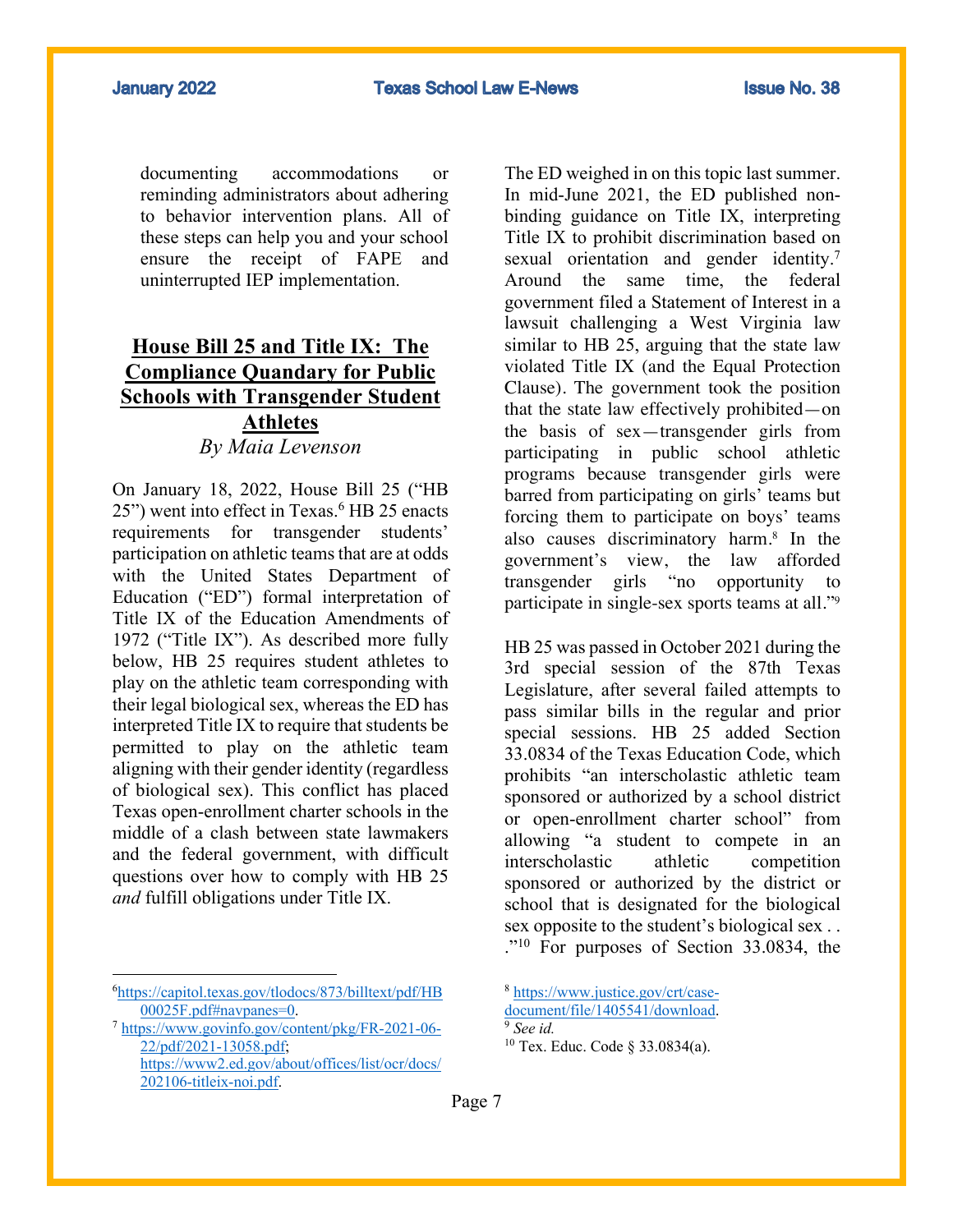documenting accommodations or reminding administrators about adhering to behavior intervention plans. All of these steps can help you and your school ensure the receipt of FAPE and uninterrupted IEP implementation.

# **House Bill 25 and Title IX: The Compliance Quandary for Public Schools with Transgender Student Athletes** *By Maia Levenson*

On January 18, 2022, House Bill 25 ("HB 25") went into effect in Texas.<sup>6</sup> HB 25 enacts requirements for transgender students' participation on athletic teams that are at odds with the United States Department of Education ("ED") formal interpretation of Title IX of the Education Amendments of 1972 ("Title IX"). As described more fully below, HB 25 requires student athletes to play on the athletic team corresponding with their legal biological sex, whereas the ED has interpreted Title IX to require that students be permitted to play on the athletic team aligning with their gender identity (regardless of biological sex). This conflict has placed Texas open-enrollment charter schools in the middle of a clash between state lawmakers and the federal government, with difficult questions over how to comply with HB 25 *and* fulfill obligations under Title IX.

The ED weighed in on this topic last summer. In mid-June 2021, the ED published nonbinding guidance on Title IX, interpreting Title IX to prohibit discrimination based on sexual orientation and gender identity.<sup>7</sup> Around the same time, the federal government filed a Statement of Interest in a lawsuit challenging a West Virginia law similar to HB 25, arguing that the state law violated Title IX (and the Equal Protection Clause). The government took the position that the state law effectively prohibited—on the basis of sex—transgender girls from participating in public school athletic programs because transgender girls were barred from participating on girls' teams but forcing them to participate on boys' teams also causes discriminatory harm.8 In the government's view, the law afforded transgender girls "no opportunity to participate in single-sex sports teams at all."9

HB 25 was passed in October 2021 during the 3rd special session of the 87th Texas Legislature, after several failed attempts to pass similar bills in the regular and prior special sessions. HB 25 added Section 33.0834 of the Texas Education Code, which prohibits "an interscholastic athletic team sponsored or authorized by a school district or open-enrollment charter school" from allowing "a student to compete in an interscholastic athletic competition sponsored or authorized by the district or school that is designated for the biological sex opposite to the student's biological sex . . ."10 For purposes of Section 33.0834, the

<sup>6</sup> https://capitol.texas.gov/tlodocs/873/billtext/pdf/HB 00025F.pdf#navpanes=0. 7 https://www.govinfo.gov/content/pkg/FR-2021-06-

<sup>22/</sup>pdf/2021-13058.pdf; https://www2.ed.gov/about/offices/list/ocr/docs/ 202106-titleix-noi.pdf.

<sup>8</sup> https://www.justice.gov/crt/casedocument/file/1405541/download. <sup>9</sup> *See id.* 

<sup>10</sup> Tex. Educ. Code § 33.0834(a).